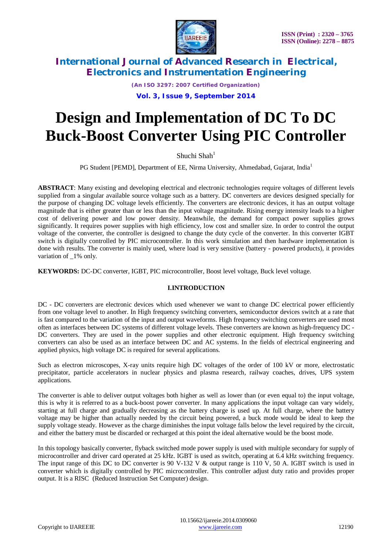

*(An ISO 3297: 2007 Certified Organization)*

**Vol. 3, Issue 9, September 2014**

# **Design and Implementation of DC To DC Buck-Boost Converter Using PIC Controller**

Shuchi Shah<sup>1</sup>

PG Student [PEMD], Department of EE, Nirma University, Ahmedabad, Gujarat, India<sup>1</sup>

**ABSTRACT**: Many existing and developing electrical and electronic technologies require voltages of different levels supplied from a singular available source voltage such as a battery. DC converters are devices designed specially for the purpose of changing DC voltage levels efficiently. The converters are electronic devices, it has an output voltage magnitude that is either greater than or less than the input voltage magnitude. Rising energy intensity leads to a higher cost of delivering power and low power density. Meanwhile, the demand for compact power supplies grows significantly. It requires power supplies with high efficiency, low cost and smaller size. In order to control the output voltage of the converter, the controller is designed to change the duty cycle of the converter. In this converter IGBT switch is digitally controlled by PIC microcontroller. In this work simulation and then hardware implementation is done with results. The converter is mainly used, where load is very sensitive (battery - powered products), it provides variation of  $1\%$  only.

**KEYWORDS:** DC-DC converter, IGBT, PIC microcontroller, Boost level voltage, Buck level voltage.

## **I.INTRODUCTION**

DC - DC converters are electronic devices which used whenever we want to change DC electrical power efficiently from one voltage level to another. In High frequency switching converters, semiconductor devices switch at a rate that is fast compared to the variation of the input and output waveforms. High frequency switching converters are used most often as interfaces between DC systems of different voltage levels. These converters are known as high-frequency DC - DC converters. They are used in the power supplies and other electronic equipment. High frequency switching converters can also be used as an interface between DC and AC systems. In the fields of electrical engineering and applied physics, high voltage DC is required for several applications.

Such as electron microscopes, X-ray units require high DC voltages of the order of 100 kV or more, electrostatic precipitator, particle accelerators in nuclear physics and plasma research, railway coaches, drives, UPS system applications.

The converter is able to deliver output voltages both higher as well as lower than (or even equal to) the input voltage, this is why it is referred to as a buck-boost power converter. In many applications the input voltage can vary widely, starting at full charge and gradually decreasing as the battery charge is used up. At full charge, where the battery voltage may be higher than actually needed by the circuit being powered, a buck mode would be ideal to keep the supply voltage steady. However as the charge diminishes the input voltage falls below the level required by the circuit, and either the battery must be discarded or recharged at this point the ideal alternative would be the boost mode.

In this topology basically converter, flyback switched mode power supply is used with multiple secondary for supply of microcontroller and driver card operated at 25 kHz. IGBT is used as switch, operating at 6.4 kHz switching frequency. The input range of this DC to DC converter is 90 V-132 V & output range is 110 V, 50 A. IGBT switch is used in converter which is digitally controlled by PIC microcontroller. This controller adjust duty ratio and provides proper output. It is a RISC (Reduced Instruction Set Computer) design.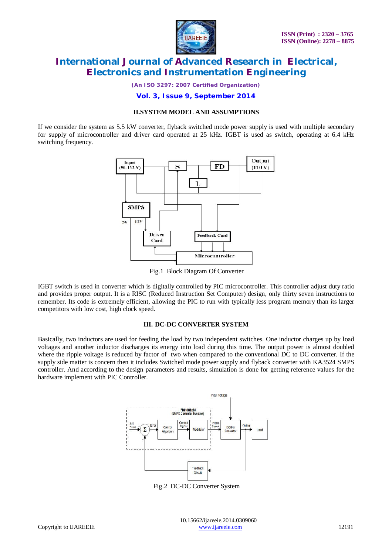

*(An ISO 3297: 2007 Certified Organization)*

**Vol. 3, Issue 9, September 2014**

#### **II.SYSTEM MODEL AND ASSUMPTIONS**

If we consider the system as 5.5 kW converter, flyback switched mode power supply is used with multiple secondary for supply of microcontroller and driver card operated at 25 kHz. IGBT is used as switch, operating at 6.4 kHz switching frequency.



Fig.1 Block Diagram Of Converter

IGBT switch is used in converter which is digitally controlled by PIC microcontroller. This controller adjust duty ratio and provides proper output. It is a RISC (Reduced Instruction Set Computer) design, only thirty seven instructions to remember. Its code is extremely efficient, allowing the PIC to run with typically less program memory than its larger competitors with low cost, high clock speed.

## **III. DC-DC CONVERTER SYSTEM**

Basically, two inductors are used for feeding the load by two independent switches. One inductor charges up by load voltages and another inductor discharges its energy into load during this time. The output power is almost doubled where the ripple voltage is reduced by factor of two when compared to the conventional DC to DC converter. If the supply side matter is concern then it includes Switched mode power supply and flyback converter with KA3524 SMPS controller. And according to the design parameters and results, simulation is done for getting reference values for the hardware implement with PIC Controller.



Fig.2 DC-DC Converter System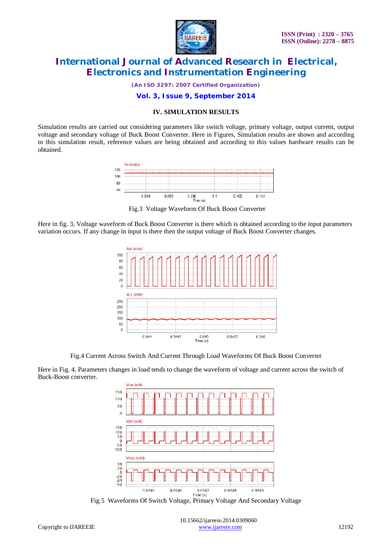

*(An ISO 3297: 2007 Certified Organization)*

## **Vol. 3, Issue 9, September 2014**

### **IV. SIMULATION RESULTS**

Simulation results are carried out considering parameters like switch voltage, primary voltage, output current, output voltage and secondary voltage of Buck Boost Converter. Here in Figures, Simulation results are shown and according to this simulation result, reference values are being obtained and according to this values hardware results can be obtained.



Fig.3 Voltage Waveform Of Buck Boost Converter

Here in fig. 3, Voltage waveform of Buck Boost Converter is there which is obtained according to the input parameters variation occurs. If any change in input is there then the output voltage of Buck Boost Converter changes.



Fig.4 Current Across Switch And Current Through Load Waveforms Of Buck Boost Converter

Here in Fig. 4, Parameters changes in load tends to change the waveform of voltage and current across the switch of Buck-Boost converter.



Fig.5 Waveforms Of Switch Voltage, Primary Voltage And Secondary Voltage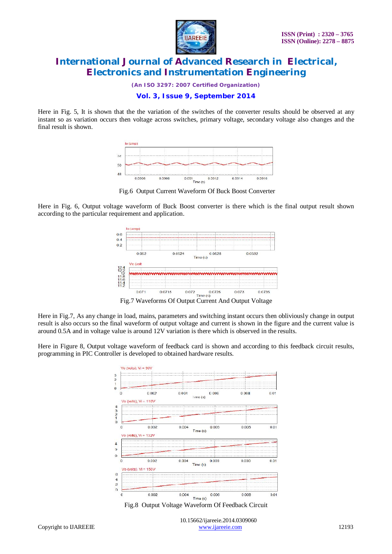

*(An ISO 3297: 2007 Certified Organization)*

## **Vol. 3, Issue 9, September 2014**

Here in Fig. 5, It is shown that the the variation of the switches of the converter results should be observed at any instant so as variation occurs then voltage across switches, primary voltage, secondary voltage also changes and the final result is shown.



Fig.6 Output Current Waveform Of Buck Boost Converter

Here in Fig. 6, Output voltage waveform of Buck Boost converter is there which is the final output result shown according to the particular requirement and application.



Here in Fig.7, As any change in load, mains, parameters and switching instant occurs then obliviously change in output result is also occurs so the final waveform of output voltage and current is shown in the figure and the current value is around 0.5A and in voltage value is around 12V variation is there which is observed in the results.

Here in Figure 8, Output voltage waveform of feedback card is shown and according to this feedback circuit results, programming in PIC Controller is developed to obtained hardware results.



Fig.8 Output Voltage Waveform Of Feedback Circuit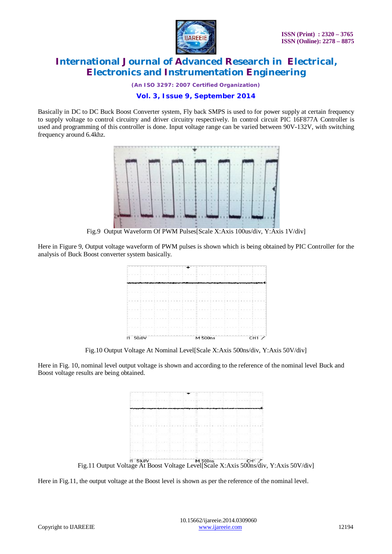

*(An ISO 3297: 2007 Certified Organization)*

## **Vol. 3, Issue 9, September 2014**

Basically in DC to DC Buck Boost Converter system, Fly back SMPS is used to for power supply at certain frequency to supply voltage to control circuitry and driver circuitry respectively. In control circuit PIC 16F877A Controller is used and programming of this controller is done. Input voltage range can be varied between 90V-132V, with switching frequency around 6.4khz.



Fig.9 Output Waveform Of PWM Pulses[Scale X:Axis 100us/div, Y:Axis 1V/div]

Here in Figure 9, Output voltage waveform of PWM pulses is shown which is being obtained by PIC Controller for the analysis of Buck Boost converter system basically.



Fig.10 Output Voltage At Nominal Level[Scale X:Axis 500ns/div, Y:Axis 50V/div]

Here in Fig. 10, nominal level output voltage is shown and according to the reference of the nominal level Buck and Boost voltage results are being obtained.



Here in Fig.11, the output voltage at the Boost level is shown as per the reference of the nominal level.